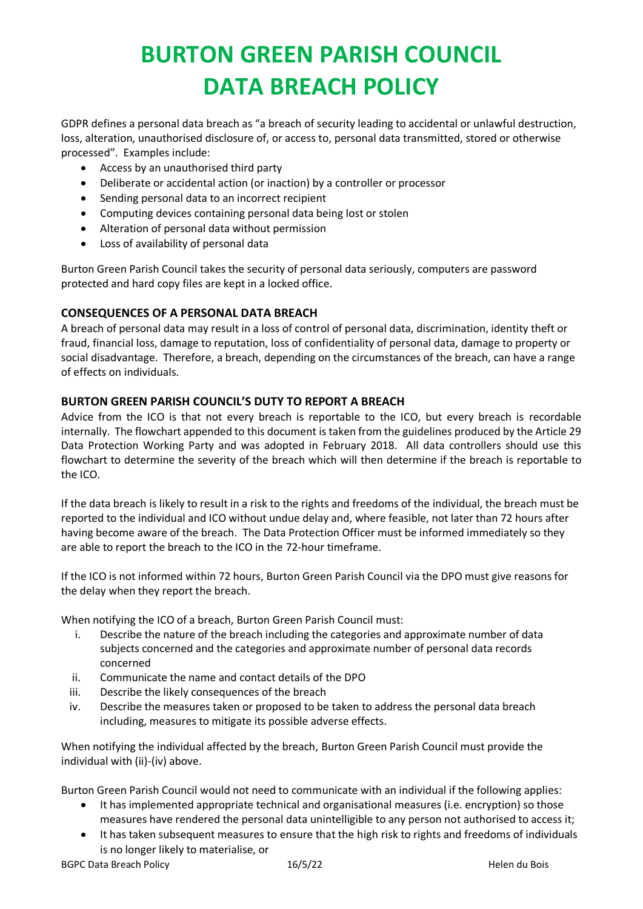# **BURTON GREEN PARISH COUNCIL DATA BREACH POLICY**

GDPR defines a personal data breach as "a breach of security leading to accidental or unlawful destruction, loss, alteration, unauthorised disclosure of, or access to, personal data transmitted, stored or otherwise processed". Examples include:

- Access by an unauthorised third party
- Deliberate or accidental action (or inaction) by a controller or processor
- Sending personal data to an incorrect recipient
- Computing devices containing personal data being lost or stolen
- Alteration of personal data without permission
- Loss of availability of personal data

Burton Green Parish Council takes the security of personal data seriously, computers are password protected and hard copy files are kept in a locked office.

### **CONSEQUENCES OF A PERSONAL DATA BREACH**

A breach of personal data may result in a loss of control of personal data, discrimination, identity theft or fraud, financial loss, damage to reputation, loss of confidentiality of personal data, damage to property or social disadvantage. Therefore, a breach, depending on the circumstances of the breach, can have a range of effects on individuals.

### **BURTON GREEN PARISH COUNCIL'S DUTY TO REPORT A BREACH**

Advice from the ICO is that not every breach is reportable to the ICO, but every breach is recordable internally. The flowchart appended to this document is taken from the guidelines produced by the Article 29 Data Protection Working Party and was adopted in February 2018. All data controllers should use this flowchart to determine the severity of the breach which will then determine if the breach is reportable to the ICO.

If the data breach is likely to result in a risk to the rights and freedoms of the individual, the breach must be reported to the individual and ICO without undue delay and, where feasible, not later than 72 hours after having become aware of the breach. The Data Protection Officer must be informed immediately so they are able to report the breach to the ICO in the 72-hour timeframe.

If the ICO is not informed within 72 hours, Burton Green Parish Council via the DPO must give reasons for the delay when they report the breach.

When notifying the ICO of a breach, Burton Green Parish Council must:

- i. Describe the nature of the breach including the categories and approximate number of data subjects concerned and the categories and approximate number of personal data records concerned
- ii. Communicate the name and contact details of the DPO
- iii. Describe the likely consequences of the breach
- iv. Describe the measures taken or proposed to be taken to address the personal data breach including, measures to mitigate its possible adverse effects.

When notifying the individual affected by the breach, Burton Green Parish Council must provide the individual with (ii)-(iv) above.

Burton Green Parish Council would not need to communicate with an individual if the following applies:

- It has implemented appropriate technical and organisational measures (i.e. encryption) so those measures have rendered the personal data unintelligible to any person not authorised to access it;
- It has taken subsequent measures to ensure that the high risk to rights and freedoms of individuals is no longer likely to materialise, or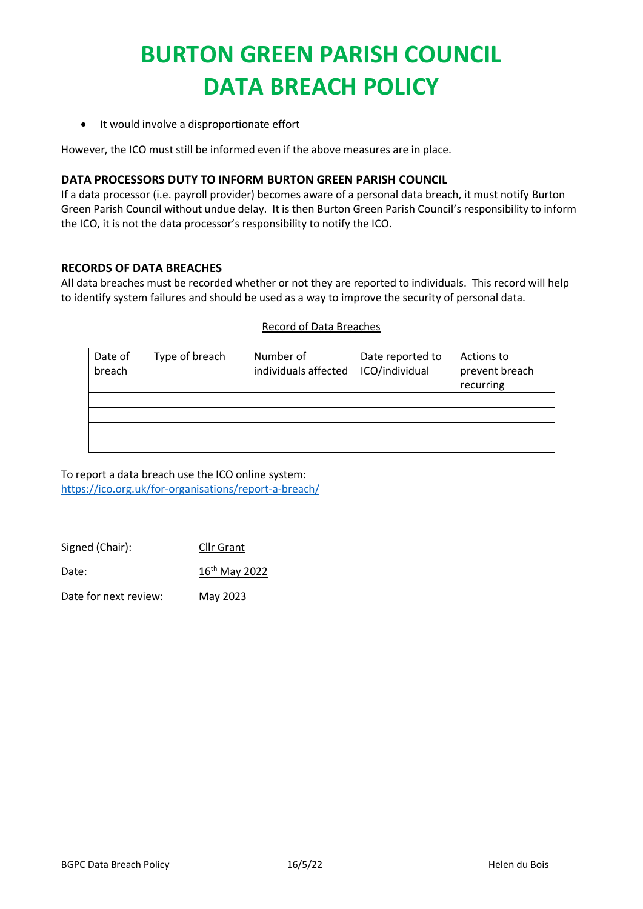# **BURTON GREEN PARISH COUNCIL DATA BREACH POLICY**

• It would involve a disproportionate effort

However, the ICO must still be informed even if the above measures are in place.

#### **DATA PROCESSORS DUTY TO INFORM BURTON GREEN PARISH COUNCIL**

If a data processor (i.e. payroll provider) becomes aware of a personal data breach, it must notify Burton Green Parish Council without undue delay. It is then Burton Green Parish Council's responsibility to inform the ICO, it is not the data processor's responsibility to notify the ICO.

#### **RECORDS OF DATA BREACHES**

All data breaches must be recorded whether or not they are reported to individuals. This record will help to identify system failures and should be used as a way to improve the security of personal data.

#### Record of Data Breaches

| Date of | Type of breach | Number of            | Date reported to | Actions to     |
|---------|----------------|----------------------|------------------|----------------|
| breach  |                | individuals affected | ICO/individual   | prevent breach |
|         |                |                      |                  | recurring      |
|         |                |                      |                  |                |
|         |                |                      |                  |                |
|         |                |                      |                  |                |
|         |                |                      |                  |                |

To report a data breach use the ICO online system: <https://ico.org.uk/for-organisations/report-a-breach/>

| <b>Cllr Grant</b> |
|-------------------|
|                   |

Date: 16<sup>th</sup> May 2022

Date for next review: May 2023